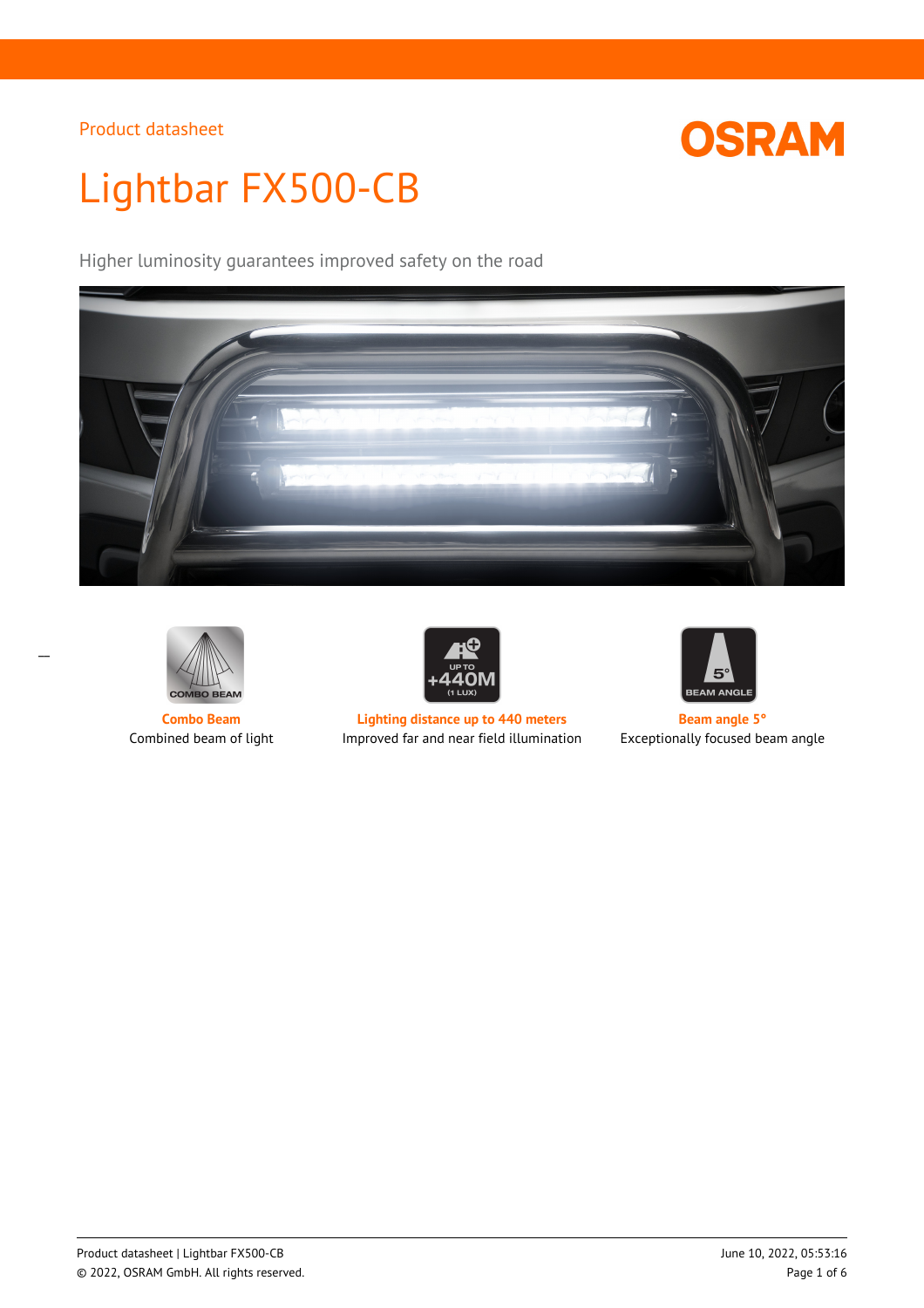

# Lightbar FX500-CB

Higher luminosity guarantees improved safety on the road







**Combo Beam Lighting distance up to 440 meters Beam** angle 5° Combined beam of light Improved far and near field illumination Exceptionally focused beam angle

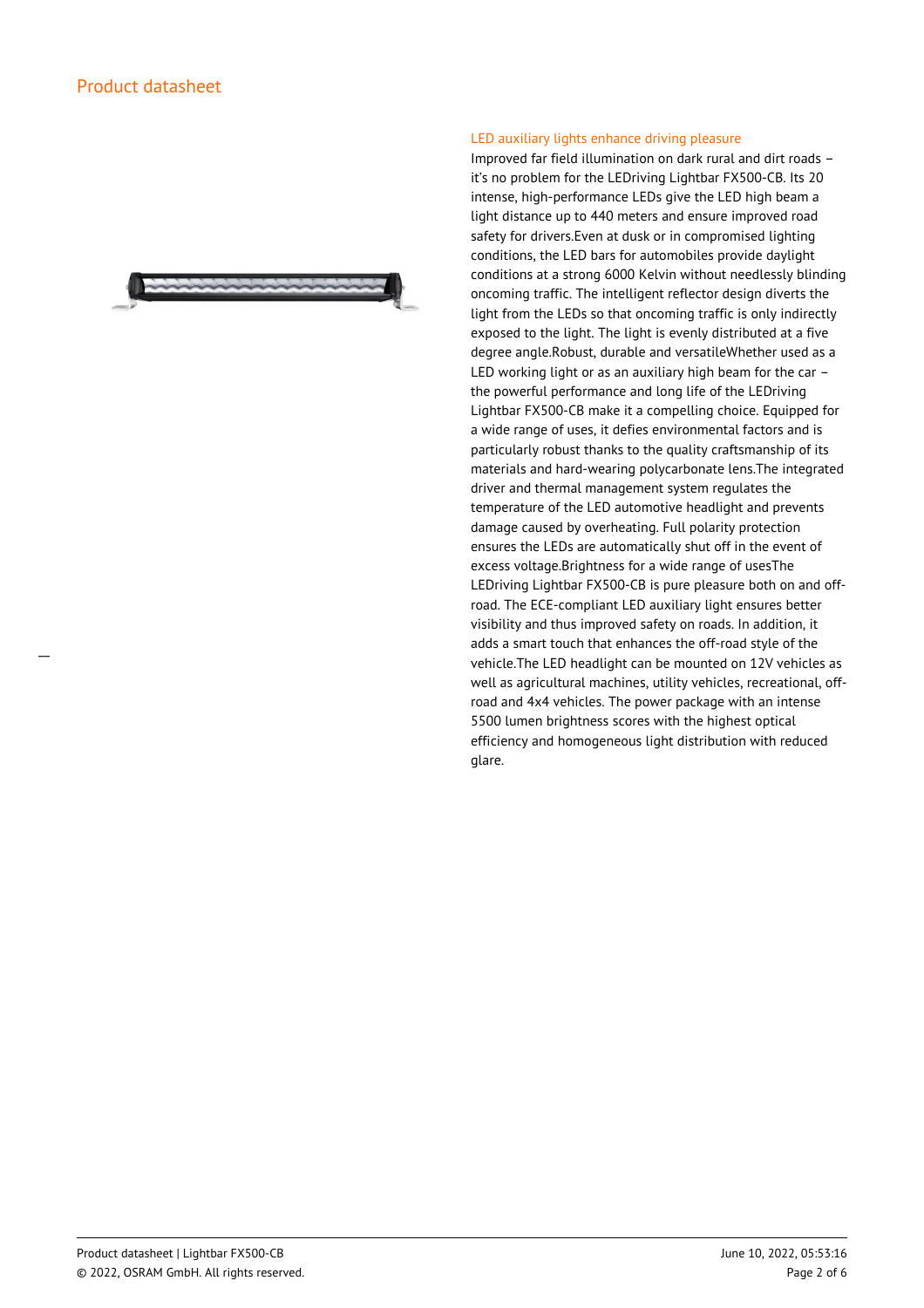

#### LED auxiliary lights enhance driving pleasure

Improved far field illumination on dark rural and dirt roads – it's no problem for the LEDriving Lightbar FX500-CB. Its 20 intense, high-performance LEDs give the LED high beam a light distance up to 440 meters and ensure improved road safety for drivers.Even at dusk or in compromised lighting conditions, the LED bars for automobiles provide daylight conditions at a strong 6000 Kelvin without needlessly blinding oncoming traffic. The intelligent reflector design diverts the light from the LEDs so that oncoming traffic is only indirectly exposed to the light. The light is evenly distributed at a five degree angle.Robust, durable and versatileWhether used as a LED working light or as an auxiliary high beam for the car – the powerful performance and long life of the LEDriving Lightbar FX500-CB make it a compelling choice. Equipped for a wide range of uses, it defies environmental factors and is particularly robust thanks to the quality craftsmanship of its materials and hard-wearing polycarbonate lens.The integrated driver and thermal management system regulates the temperature of the LED automotive headlight and prevents damage caused by overheating. Full polarity protection ensures the LEDs are automatically shut off in the event of excess voltage.Brightness for a wide range of usesThe LEDriving Lightbar FX500-CB is pure pleasure both on and offroad. The ECE-compliant LED auxiliary light ensures better visibility and thus improved safety on roads. In addition, it adds a smart touch that enhances the off-road style of the vehicle.The LED headlight can be mounted on 12V vehicles as well as agricultural machines, utility vehicles, recreational, offroad and 4x4 vehicles. The power package with an intense 5500 lumen brightness scores with the highest optical efficiency and homogeneous light distribution with reduced glare.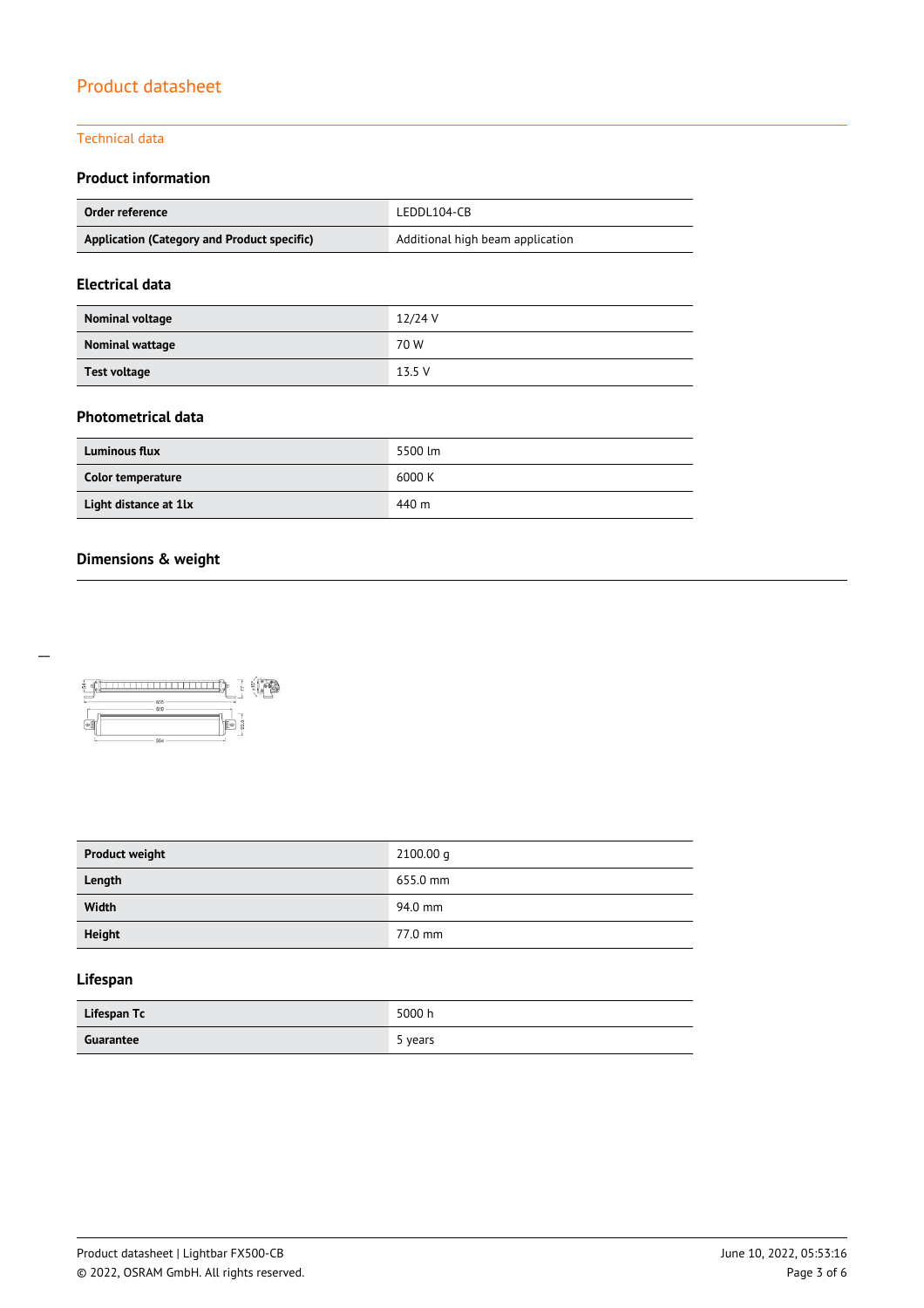#### Technical data

## **Product information**

| Order reference                             | LEDDL104-CB                      |  |
|---------------------------------------------|----------------------------------|--|
| Application (Category and Product specific) | Additional high beam application |  |

## **Electrical data**

| Nominal voltage | $12/24$ V |
|-----------------|-----------|
| Nominal wattage | 70 W      |
| Test voltage    | 13.5 V    |

#### **Photometrical data**

| <b>Luminous flux</b>  | 5500 lm |
|-----------------------|---------|
| Color temperature     | 6000 K  |
| Light distance at 1lx | 440 m   |

## **Dimensions & weight**



| <b>Product weight</b> | 2100.00 q |
|-----------------------|-----------|
| Length                | 655.0 mm  |
| Width                 | 94.0 mm   |
| <b>Height</b>         | 77.0 mm   |

## **Lifespan**

| Lifespan Tc | 5000 h  |
|-------------|---------|
| Guarantee   | 5 years |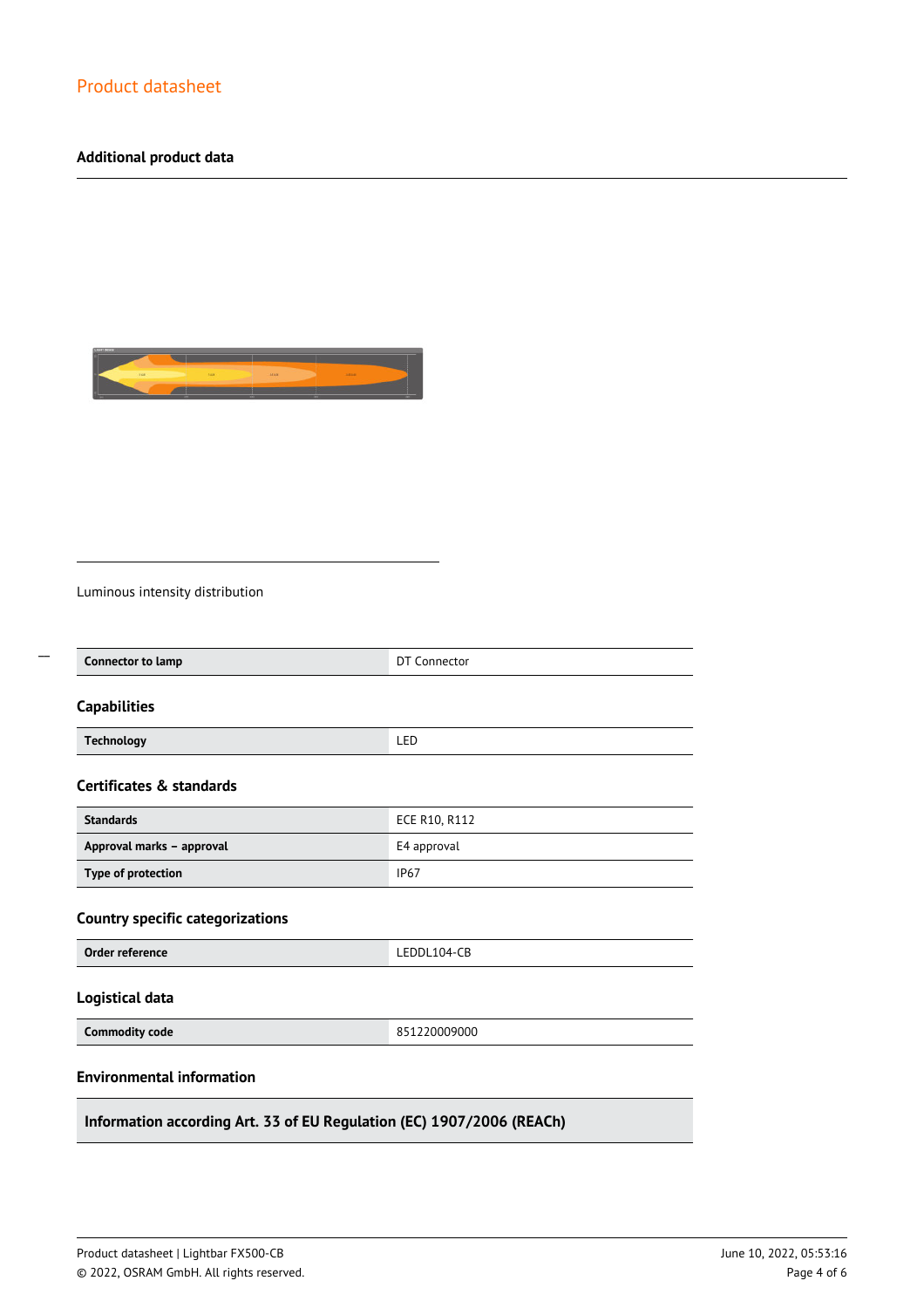## **Additional product data**



Luminous intensity distribution

 $\overline{a}$ 

| <b>Connector to lamp</b>                | DT Connector  |
|-----------------------------------------|---------------|
| <b>Capabilities</b>                     |               |
| <b>Technology</b>                       | LED           |
| Certificates & standards                |               |
| <b>Standards</b>                        | ECE R10, R112 |
| Approval marks - approval               | E4 approval   |
| Type of protection                      | <b>IP67</b>   |
| <b>Country specific categorizations</b> |               |
| Order reference                         | LEDDL104-CB   |
| Logistical data                         |               |
| <b>Commodity code</b>                   | 851220009000  |
| <b>Environmental information</b>        |               |

**Information according Art. 33 of EU Regulation (EC) 1907/2006 (REACh)**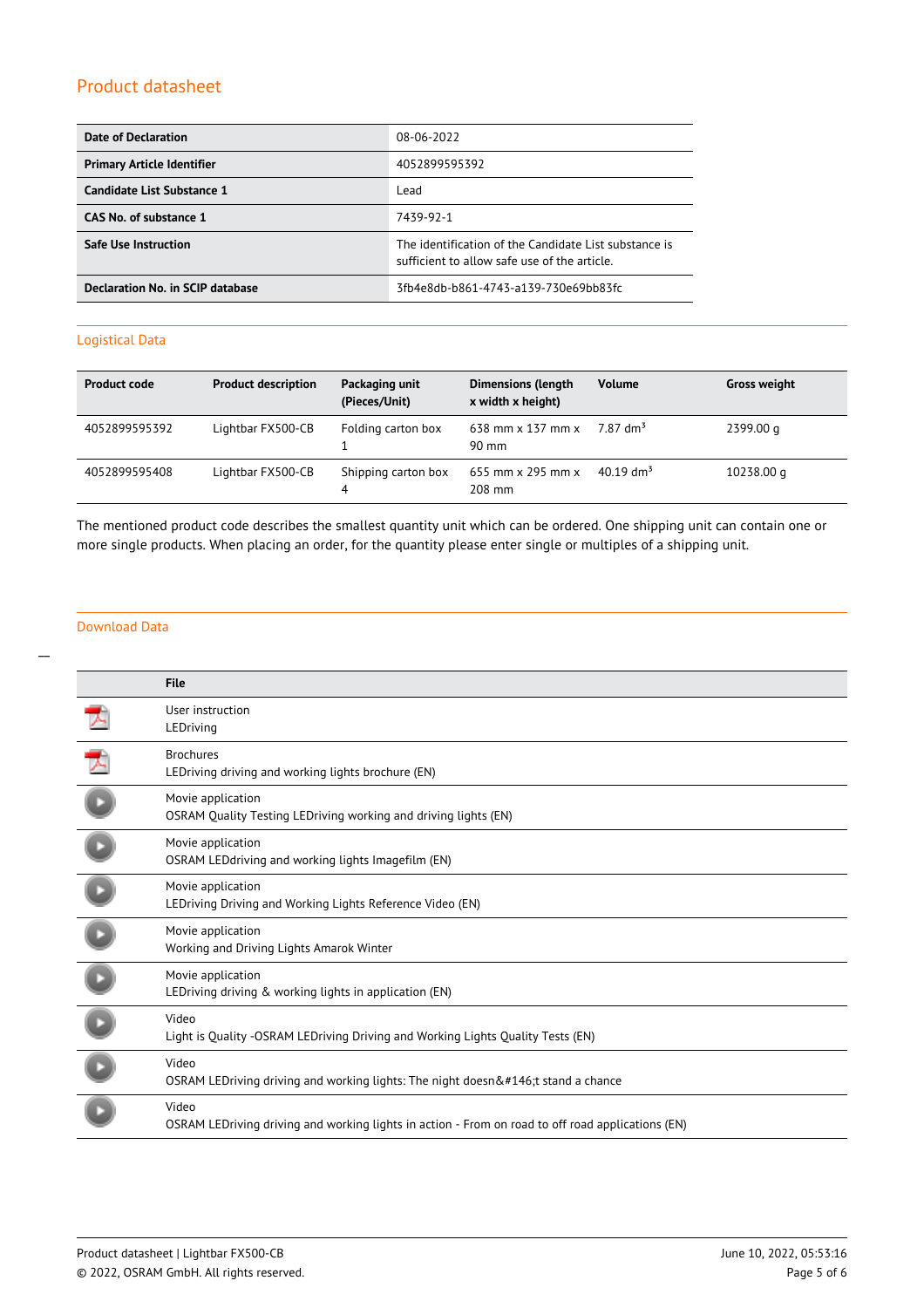| Date of Declaration               | 08-06-2022                                                                                            |
|-----------------------------------|-------------------------------------------------------------------------------------------------------|
| <b>Primary Article Identifier</b> | 4052899595392                                                                                         |
| Candidate List Substance 1        | Lead                                                                                                  |
| CAS No. of substance 1            | 7439-92-1                                                                                             |
| <b>Safe Use Instruction</b>       | The identification of the Candidate List substance is<br>sufficient to allow safe use of the article. |
| Declaration No. in SCIP database  | 3fb4e8db-b861-4743-a139-730e69bb83fc                                                                  |

## Logistical Data

| <b>Product code</b> | <b>Product description</b> | Packaging unit<br>(Pieces/Unit) | <b>Dimensions (length</b><br>x width x height)     | <b>Volume</b>           | <b>Gross weight</b> |
|---------------------|----------------------------|---------------------------------|----------------------------------------------------|-------------------------|---------------------|
| 4052899595392       | Lightbar FX500-CB          | Folding carton box              | 638 mm $\times$ 137 mm $\times$<br>$90 \text{ mm}$ | 7 87 dm <sup>3</sup>    | 2399.00 g           |
| 4052899595408       | Lightbar FX500-CB          | Shipping carton box<br>4        | 655 mm $\times$ 295 mm $\times$<br>$208$ mm        | $40.19$ dm <sup>3</sup> | 10238.00 g          |

The mentioned product code describes the smallest quantity unit which can be ordered. One shipping unit can contain one or more single products. When placing an order, for the quantity please enter single or multiples of a shipping unit.

## Download Data

| <b>File</b>                                                                                                |
|------------------------------------------------------------------------------------------------------------|
| User instruction<br>LEDriving                                                                              |
| <b>Brochures</b><br>LEDriving driving and working lights brochure (EN)                                     |
| Movie application<br>OSRAM Quality Testing LEDriving working and driving lights (EN)                       |
| Movie application<br>OSRAM LEDdriving and working lights Imagefilm (EN)                                    |
| Movie application<br>LEDriving Driving and Working Lights Reference Video (EN)                             |
| Movie application<br>Working and Driving Lights Amarok Winter                                              |
| Movie application<br>LEDriving driving & working lights in application (EN)                                |
| Video<br>Light is Quality -OSRAM LEDriving Driving and Working Lights Quality Tests (EN)                   |
| Video<br>OSRAM LEDriving driving and working lights: The night doesn't stand a chance                      |
| Video<br>OSRAM LEDriving driving and working lights in action - From on road to off road applications (EN) |